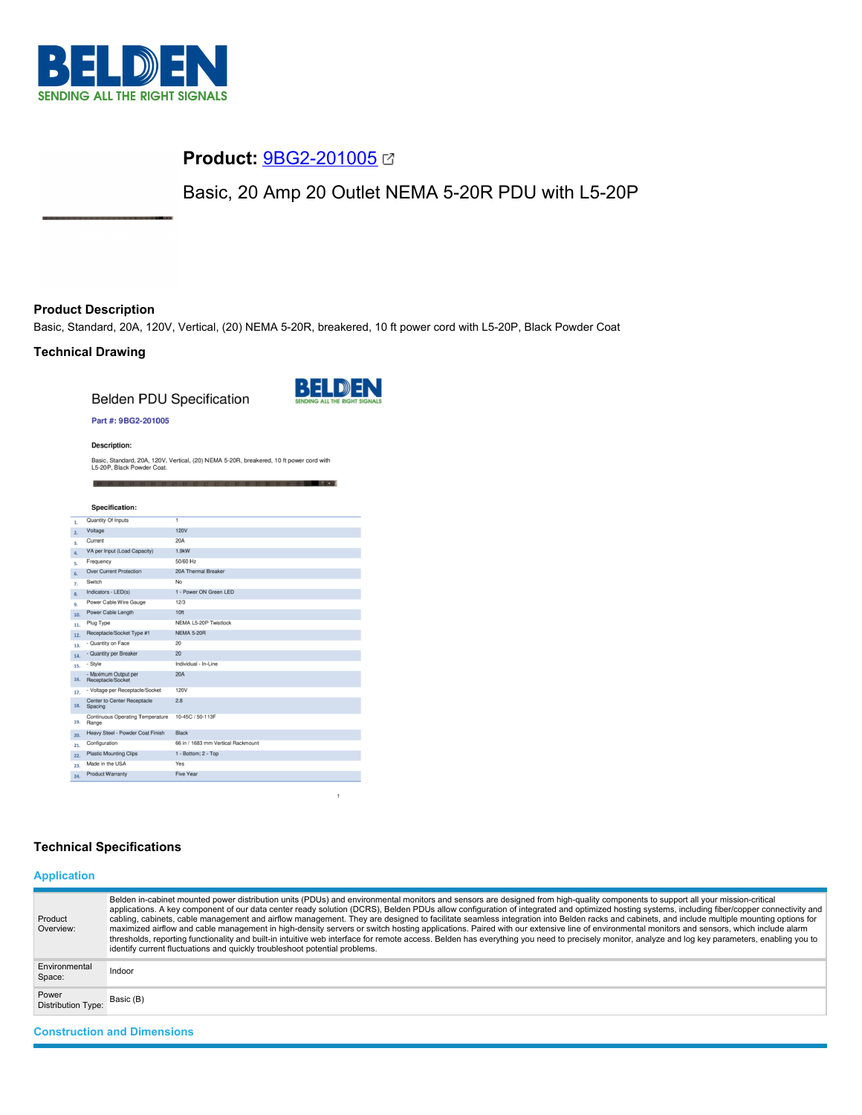

# **Product:** [9BG2-201005](https://catalog.belden.com/index.cfm?event=pd&p=PF_9BG2201005&tab=downloads)

Basic, 20 Amp 20 Outlet NEMA 5-20R PDU with L5-20P

## **Product Description**

Basic, Standard, 20A, 120V, Vertical, (20) NEMA 5-20R, breakered, 10 ft power cord with L5-20P, Black Powder Coat

## **Technical Drawing**

**Belden PDU Specification** 



#### Part #: 9BG2-201005

**Description:** 

Basic, Standard, 20A, 120V, Vertical, (20) NEMA 5-20R, breakered, 10 ft power cord with<br>L5-20P, Black Powder Coat.

|                  | <b>Specification:</b>                         |                                    |
|------------------|-----------------------------------------------|------------------------------------|
|                  | Quantity Of Inputs                            | $\overline{1}$                     |
| 1.               |                                               |                                    |
| 2.               | Voltage                                       | <b>120V</b>                        |
| $\overline{3}$ . | Current                                       | 20A                                |
| 4.               | VA per Input (Load Capacity)                  | 1.9kW                              |
| 5.               | Frequency                                     | 50/60 Hz                           |
| 6.               | <b>Over Current Protection</b>                | 20A Thermal Breaker                |
| 7.               | Switch                                        | No                                 |
| 8.               | Indicators - LED(s)                           | 1 - Power ON Green LED             |
| 9.               | Power Cable Wire Gauge                        | 12/3                               |
| 10.              | Power Cable Length                            | 10ft                               |
| 11.              | Plug Type                                     | NEMA L5-20P Twistlock              |
| 12.              | Receptacle/Socket Type #1                     | <b>NEMA 5-20R</b>                  |
| 13.              | - Quantity on Face                            | 20                                 |
| 14.              | - Quantity per Breaker                        | 20                                 |
| 15.              | - Style                                       | Individual - In-Line               |
| 16.              | - Maximum Output per<br>Receptacle/Socket     | 20A                                |
| 17.              | - Voltage per Receptacle/Socket               | 120V                               |
| 18.              | <b>Center to Center Receptacle</b><br>Spacing | 2.8                                |
| 19.              | Continuous Operating Temperature<br>Range     | 10-45C / 50-113F                   |
| 20.              | Heavy Steel - Powder Coat Finish              | <b>Black</b>                       |
| 21.              | Configuration                                 | 66 in / 1683 mm Vertical Rackmount |
| 22.              | <b>Plastic Mounting Clips</b>                 | 1 - Bottom; 2 - Top                |
| 23.              | Made in the USA                               | Yes                                |
| 24.              | <b>Product Warranty</b>                       | Five Year                          |

## **Technical Specifications**

## **Application**

| Product<br>Overview:               | Belden in-cabinet mounted power distribution units (PDUs) and environmental monitors and sensors are designed from high-quality components to support all your mission-critical<br>applications. A key component of our data center ready solution (DCRS), Belden PDUs allow configuration of integrated and optimized hosting systems, including fiber/copper connectivity and<br>cabling, cabinets, cable management and airflow management. They are designed to facilitate seamless integration into Belden racks and cabinets, and include multiple mounting options for<br>maximized airflow and cable management in high-density servers or switch hosting applications. Paired with our extensive line of environmental monitors and sensors, which include alarm<br>thresholds, reporting functionality and built-in intuitive web interface for remote access. Belden has everything you need to precisely monitor, analyze and log key parameters, enabling you to<br>identify current fluctuations and quickly troubleshoot potential problems. |
|------------------------------------|-------------------------------------------------------------------------------------------------------------------------------------------------------------------------------------------------------------------------------------------------------------------------------------------------------------------------------------------------------------------------------------------------------------------------------------------------------------------------------------------------------------------------------------------------------------------------------------------------------------------------------------------------------------------------------------------------------------------------------------------------------------------------------------------------------------------------------------------------------------------------------------------------------------------------------------------------------------------------------------------------------------------------------------------------------------|
| Environmental<br>Space:            | Indoor                                                                                                                                                                                                                                                                                                                                                                                                                                                                                                                                                                                                                                                                                                                                                                                                                                                                                                                                                                                                                                                      |
| Power<br><b>Distribution Type:</b> | Basic (B)                                                                                                                                                                                                                                                                                                                                                                                                                                                                                                                                                                                                                                                                                                                                                                                                                                                                                                                                                                                                                                                   |
| <b>Construction and Dimensions</b> |                                                                                                                                                                                                                                                                                                                                                                                                                                                                                                                                                                                                                                                                                                                                                                                                                                                                                                                                                                                                                                                             |